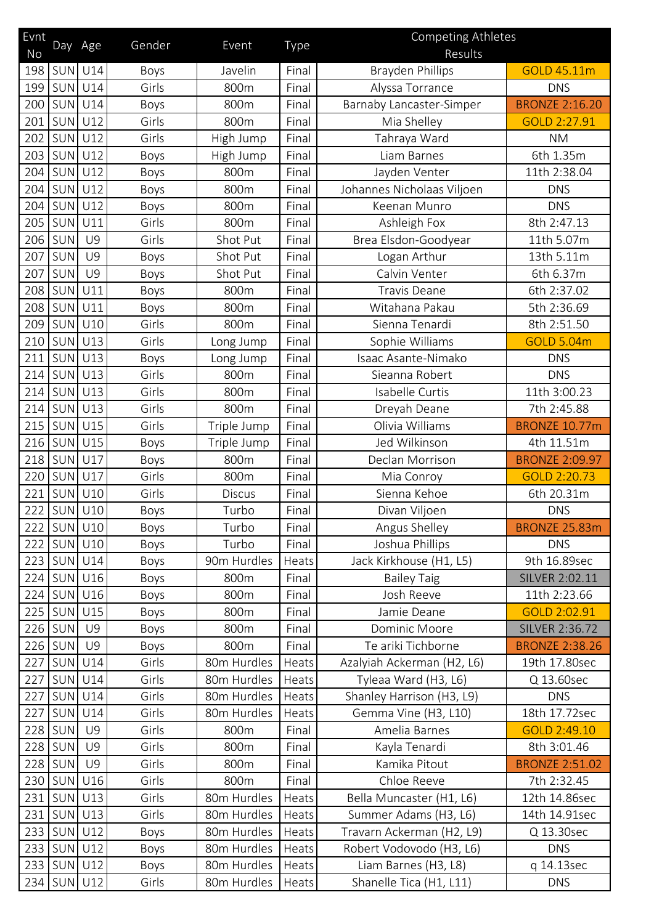| Evnt |            |           |        |               |              | <b>Competing Athletes</b>  |                       |
|------|------------|-----------|--------|---------------|--------------|----------------------------|-----------------------|
| No   | Day Age    |           | Gender | Event         | Type         | Results                    |                       |
| 198  | SUN        | U14       | Boys   | Javelin       | Final        | <b>Brayden Phillips</b>    | GOLD 45.11m           |
| 199  | SUN        | U14       | Girls  | 800m          | Final        | Alyssa Torrance            | <b>DNS</b>            |
| 200  | <b>SUN</b> | U14       | Boys   | 800m          | Final        | Barnaby Lancaster-Simper   | <b>BRONZE 2:16.20</b> |
| 201  | <b>SUN</b> | U12       | Girls  | 800m          | Final        | Mia Shelley                | GOLD 2:27.91          |
| 202  | <b>SUN</b> | U12       | Girls  | High Jump     | Final        | Tahraya Ward               | <b>NM</b>             |
| 203  | SUN        | U12       | Boys   | High Jump     | Final        | Liam Barnes                | 6th 1.35m             |
| 204  | <b>SUN</b> | U12       | Boys   | 800m          | Final        | Jayden Venter              | 11th 2:38.04          |
| 204  | <b>SUN</b> | U12       | Boys   | 800m          | Final        | Johannes Nicholaas Viljoen | <b>DNS</b>            |
| 204  | <b>SUN</b> | U12       | Boys   | 800m          | Final        | Keenan Munro               | <b>DNS</b>            |
| 205  | <b>SUN</b> | U11       | Girls  | 800m          | Final        | Ashleigh Fox               | 8th 2:47.13           |
| 206  | SUN        | <b>U9</b> | Girls  | Shot Put      | Final        | Brea Elsdon-Goodyear       | 11th 5.07m            |
| 207  | SUN        | <b>U9</b> | Boys   | Shot Put      | Final        | Logan Arthur               | 13th 5.11m            |
| 207  | SUN        | <b>U9</b> | Boys   | Shot Put      | Final        | Calvin Venter              | 6th 6.37m             |
| 208  | SUN        | U11       | Boys   | 800m          | Final        | <b>Travis Deane</b>        | 6th 2:37.02           |
| 208  | <b>SUN</b> | U11       | Boys   | 800m          | Final        | Witahana Pakau             | 5th 2:36.69           |
| 209  | SUN        | U10       | Girls  | 800m          | Final        | Sienna Tenardi             | 8th 2:51.50           |
| 210  | <b>SUN</b> | U13       | Girls  | Long Jump     | Final        | Sophie Williams            | <b>GOLD 5.04m</b>     |
| 211  | SUN        | U13       | Boys   | Long Jump     | Final        | Isaac Asante-Nimako        | <b>DNS</b>            |
| 214  | <b>SUN</b> | U13       | Girls  | 800m          | Final        | Sieanna Robert             | <b>DNS</b>            |
| 214  | <b>SUN</b> | U13       | Girls  | 800m          | Final        | Isabelle Curtis            | 11th 3:00.23          |
| 214  | <b>SUN</b> | U13       | Girls  | 800m          | Final        | Dreyah Deane               | 7th 2:45.88           |
| 215  | SUN        | U15       | Girls  | Triple Jump   | Final        | Olivia Williams            | <b>BRONZE 10.77m</b>  |
| 216  | SUN        | U15       | Boys   | Triple Jump   | Final        | Jed Wilkinson              | 4th 11.51m            |
| 218  | SUN        | U17       | Boys   | 800m          | Final        | Declan Morrison            | <b>BRONZE 2:09.97</b> |
| 220  | SUN        | U17       | Girls  | 800m          | Final        | Mia Conroy                 | GOLD 2:20.73          |
| 221  | SUN        | U10       | Girls  | <b>Discus</b> | Final        | Sienna Kehoe               | 6th 20.31m            |
| 222  | <b>SUN</b> | U10       | Boys   | Turbo         | Final        | Divan Viljoen              | <b>DNS</b>            |
| 222  | <b>SUN</b> | U10       | Boys   | Turbo         | Final        | Angus Shelley              | BRONZE 25.83m         |
| 222  | <b>SUN</b> | U10       | Boys   | Turbo         | Final        | Joshua Phillips            | <b>DNS</b>            |
| 223  | SUN        | U14       | Boys   | 90m Hurdles   | Heats        | Jack Kirkhouse (H1, L5)    | 9th 16.89sec          |
| 224  | <b>SUN</b> | U16       | Boys   | 800m          | Final        | <b>Bailey Taig</b>         | SILVER 2:02.11        |
| 224  | <b>SUN</b> | U16       | Boys   | 800m          | Final        | Josh Reeve                 | 11th 2:23.66          |
| 225  | SUN        | U15       | Boys   | 800m          | Final        | Jamie Deane                | GOLD 2:02.91          |
| 226  | SUN        | <b>U9</b> | Boys   | 800m          | Final        | Dominic Moore              | <b>SILVER 2:36.72</b> |
| 226  | SUN        | <b>U9</b> | Boys   | 800m          | Final        | Te ariki Tichborne         | <b>BRONZE 2:38.26</b> |
| 227  | SUN        | U14       | Girls  | 80m Hurdles   | Heats        | Azalyiah Ackerman (H2, L6) | 19th 17.80sec         |
| 227  | <b>SUN</b> | U14       | Girls  | 80m Hurdles   | Heats        | Tyleaa Ward (H3, L6)       | Q 13.60sec            |
| 227  | SUN        | U14       | Girls  | 80m Hurdles   | Heats        | Shanley Harrison (H3, L9)  | <b>DNS</b>            |
| 227  | SUN        | U14       | Girls  | 80m Hurdles   | Heats        | Gemma Vine (H3, L10)       | 18th 17.72sec         |
| 228  | SUN        | <b>U9</b> | Girls  | 800m          | Final        | Amelia Barnes              | GOLD 2:49.10          |
| 228  | SUN        | U9        | Girls  | 800m          | Final        | Kayla Tenardi              | 8th 3:01.46           |
| 228  | SUN        | <b>U9</b> | Girls  | 800m          | Final        | Kamika Pitout              | <b>BRONZE 2:51.02</b> |
| 230  | <b>SUN</b> | U16       | Girls  | 800m          | Final        | Chloe Reeve                | 7th 2:32.45           |
| 231  | SUN        | U13       | Girls  | 80m Hurdles   | Heats        | Bella Muncaster (H1, L6)   | 12th 14.86sec         |
| 231  | SUN        | U13       | Girls  | 80m Hurdles   | Heats        | Summer Adams (H3, L6)      | 14th 14.91sec         |
| 233  | <b>SUN</b> | U12       | Boys   | 80m Hurdles   | Heats        | Travarn Ackerman (H2, L9)  | Q 13.30sec            |
| 233  | <b>SUN</b> | U12       | Boys   | 80m Hurdles   | Heats        | Robert Vodovodo (H3, L6)   | <b>DNS</b>            |
| 233  | SUN        | U12       | Boys   | 80m Hurdles   | Heats        | Liam Barnes (H3, L8)       | q 14.13sec            |
| 234  | <b>SUN</b> | U12       | Girls  | 80m Hurdles   | <b>Heats</b> | Shanelle Tica (H1, L11)    | <b>DNS</b>            |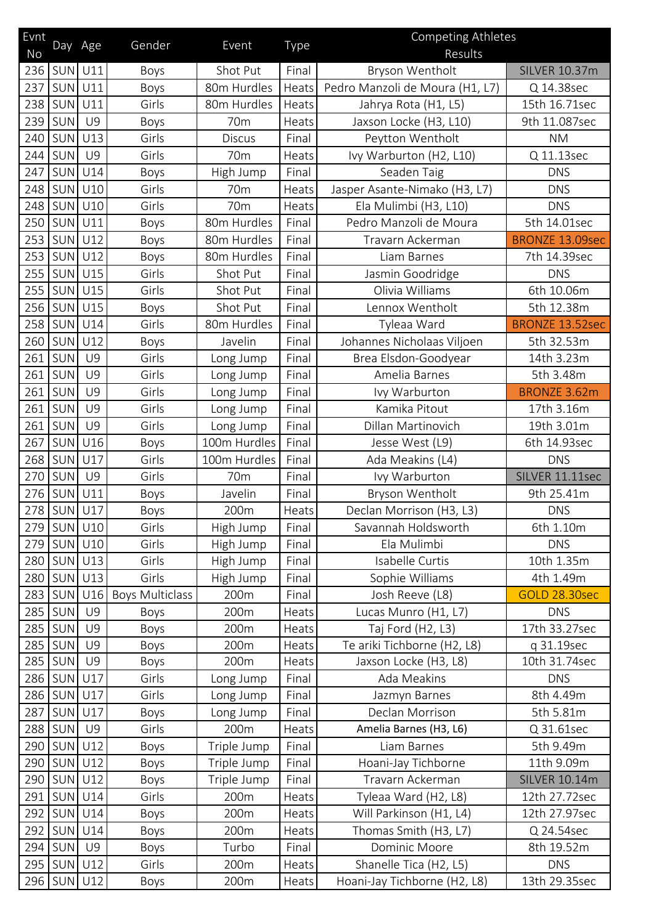| Evnt |            |           | Gender                 |                 |       | <b>Competing Athletes</b>       |                        |
|------|------------|-----------|------------------------|-----------------|-------|---------------------------------|------------------------|
| No   | Day Age    |           |                        | Event           | Type  | Results                         |                        |
| 236  | SUN        | U11       | Boys                   | Shot Put        | Final | Bryson Wentholt                 | <b>SILVER 10.37m</b>   |
| 237  | <b>SUN</b> | U11       | Boys                   | 80m Hurdles     | Heats | Pedro Manzoli de Moura (H1, L7) | Q 14.38sec             |
| 238  | SUN        | U11       | Girls                  | 80m Hurdles     | Heats | Jahrya Rota (H1, L5)            | 15th 16.71sec          |
| 239  | SUN        | <b>U9</b> | Boys                   | 70 <sub>m</sub> | Heats | Jaxson Locke (H3, L10)          | 9th 11.087sec          |
| 240  | SUN        | U13       | Girls                  | <b>Discus</b>   | Final | Peytton Wentholt                | <b>NM</b>              |
| 244  | SUN        | <b>U9</b> | Girls                  | 70 <sub>m</sub> | Heats | Ivy Warburton (H2, L10)         | Q 11.13sec             |
| 247  | SUN        | U14       | Boys                   | High Jump       | Final | Seaden Taig                     | <b>DNS</b>             |
| 248  | SUN        | U10       | Girls                  | 70m             | Heats | Jasper Asante-Nimako (H3, L7)   | <b>DNS</b>             |
| 248  | SUN        | U10       | Girls                  | 70 <sub>m</sub> | Heats | Ela Mulimbi (H3, L10)           | <b>DNS</b>             |
| 250  | SUN        | U11       | Boys                   | 80m Hurdles     | Final | Pedro Manzoli de Moura          | 5th 14.01sec           |
| 253  | SUN        | U12       | Boys                   | 80m Hurdles     | Final | Travarn Ackerman                | <b>BRONZE 13.09sec</b> |
| 253  | SUN        | U12       | Boys                   | 80m Hurdles     | Final | Liam Barnes                     | 7th 14.39sec           |
| 255  | SUN        | U15       | Girls                  | Shot Put        | Final | Jasmin Goodridge                | <b>DNS</b>             |
| 255  | <b>SUN</b> | U15       | Girls                  | Shot Put        | Final | Olivia Williams                 | 6th 10.06m             |
| 256  | SUN        | U15       | Boys                   | Shot Put        | Final | Lennox Wentholt                 | 5th 12.38m             |
| 258  | SUN        | U14       | Girls                  | 80m Hurdles     | Final | Tyleaa Ward                     | <b>BRONZE 13.52sec</b> |
| 260  | <b>SUN</b> | U12       | Boys                   | Javelin         | Final | Johannes Nicholaas Viljoen      | 5th 32.53m             |
| 261  | SUN        | U9        | Girls                  | Long Jump       | Final | Brea Elsdon-Goodyear            | 14th 3.23m             |
| 261  | SUN        | <b>U9</b> | Girls                  | Long Jump       | Final | Amelia Barnes                   | 5th 3.48m              |
| 261  | SUN        | <b>U9</b> | Girls                  | Long Jump       | Final | Ivy Warburton                   | <b>BRONZE 3.62m</b>    |
| 261  | SUN        | <b>U9</b> | Girls                  | Long Jump       | Final | Kamika Pitout                   | 17th 3.16m             |
| 261  | SUN        | <b>U9</b> | Girls                  | Long Jump       | Final | Dillan Martinovich              | 19th 3.01m             |
| 267  | SUN        | U16       | Boys                   | 100m Hurdles    | Final | Jesse West (L9)                 | 6th 14.93sec           |
| 268  | SUN        | U17       | Girls                  | 100m Hurdles    | Final | Ada Meakins (L4)                | <b>DNS</b>             |
| 270  | SUN        | U9        | Girls                  | 70 <sub>m</sub> | Final | Ivy Warburton                   | SILVER 11.11sec        |
| 276  | SUN        | U11       | Boys                   | Javelin         | Final | Bryson Wentholt                 | 9th 25.41m             |
| 278  | SUN        | U17       | Boys                   | 200m            | Heats | Declan Morrison (H3, L3)        | <b>DNS</b>             |
| 279  | <b>SUN</b> | U10       | Girls                  | High Jump       | Final | Savannah Holdsworth             | 6th 1.10m              |
| 279  | <b>SUN</b> | U10       | Girls                  | High Jump       | Final | Ela Mulimbi                     | <b>DNS</b>             |
| 280  | <b>SUN</b> | U13       | Girls                  | High Jump       | Final | Isabelle Curtis                 | 10th 1.35m             |
| 280  | <b>SUN</b> | U13       | Girls                  | High Jump       | Final | Sophie Williams                 | 4th 1.49m              |
| 283  | SUN        | U16       | <b>Boys Multiclass</b> | 200m            | Final | Josh Reeve (L8)                 | <b>GOLD 28.30sec</b>   |
| 285  | SUN        | <b>U9</b> | Boys                   | 200m            | Heats | Lucas Munro (H1, L7)            | <b>DNS</b>             |
| 285  | SUN        | <b>U9</b> | Boys                   | 200m            | Heats | Taj Ford (H2, L3)               | 17th 33.27sec          |
| 285  | SUN        | <b>U9</b> | Boys                   | 200m            | Heats | Te ariki Tichborne (H2, L8)     | q 31.19sec             |
| 285  | SUN        | U9        | Boys                   | 200m            | Heats | Jaxson Locke (H3, L8)           | 10th 31.74sec          |
| 286  | SUN        | U17       | Girls                  | Long Jump       | Final | Ada Meakins                     | <b>DNS</b>             |
| 286  | SUN        | U17       | Girls                  | Long Jump       | Final | Jazmyn Barnes                   | 8th 4.49m              |
| 287  | SUN        | U17       | Boys                   | Long Jump       | Final | Declan Morrison                 | 5th 5.81m              |
| 288  | <b>SUN</b> | <b>U9</b> | Girls                  | 200m            | Heats | Amelia Barnes (H3, L6)          | Q 31.61sec             |
| 290  | <b>SUN</b> | U12       | Boys                   | Triple Jump     | Final | Liam Barnes                     | 5th 9.49m              |
| 290  | <b>SUN</b> | U12       | Boys                   | Triple Jump     | Final | Hoani-Jay Tichborne             | 11th 9.09m             |
| 290  | SUN        | U12       | Boys                   | Triple Jump     | Final | Travarn Ackerman                | <b>SILVER 10.14m</b>   |
| 291  | SUN        | U14       | Girls                  | 200m            | Heats | Tyleaa Ward (H2, L8)            | 12th 27.72sec          |
| 292  | SUN        | U14       | Boys                   | 200m            | Heats | Will Parkinson (H1, L4)         | 12th 27.97sec          |
| 292  | SUN        | U14       | Boys                   | 200m            | Heats | Thomas Smith (H3, L7)           | Q 24.54sec             |
| 294  | SUN        | <b>U9</b> | Boys                   | Turbo           | Final | Dominic Moore                   | 8th 19.52m             |
| 295  | <b>SUN</b> | U12       | Girls                  | 200m            | Heats | Shanelle Tica (H2, L5)          | <b>DNS</b>             |
| 296  | <b>SUN</b> | U12       | Boys                   | 200m            | Heats | Hoani-Jay Tichborne (H2, L8)    | 13th 29.35sec          |